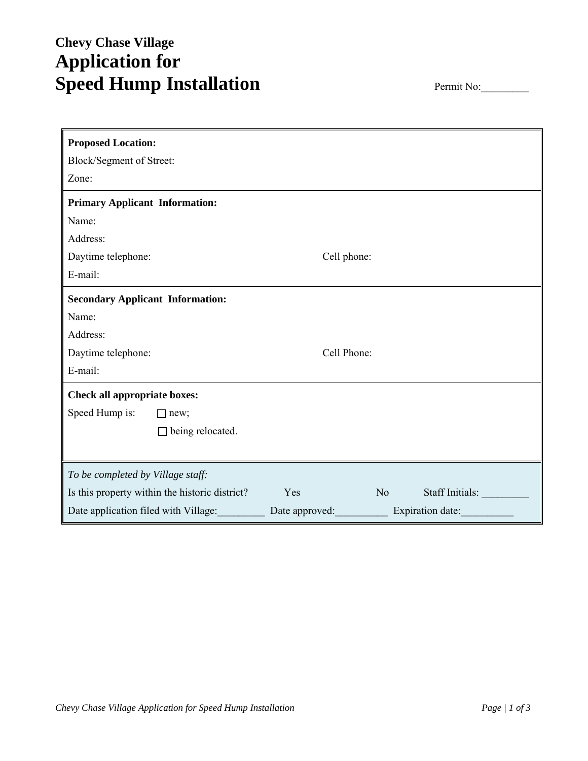# **Chevy Chase Village Application for**  Speed Hump Installation **Permit No:**

| <b>Proposed Location:</b>                      |                       |                  |
|------------------------------------------------|-----------------------|------------------|
| Block/Segment of Street:                       |                       |                  |
| Zone:                                          |                       |                  |
| <b>Primary Applicant Information:</b>          |                       |                  |
| Name:                                          |                       |                  |
| Address:                                       |                       |                  |
| Daytime telephone:                             | Cell phone:           |                  |
| E-mail:                                        |                       |                  |
| <b>Secondary Applicant Information:</b>        |                       |                  |
| Name:                                          |                       |                  |
| Address:                                       |                       |                  |
| Daytime telephone:                             | Cell Phone:           |                  |
| E-mail:                                        |                       |                  |
| <b>Check all appropriate boxes:</b>            |                       |                  |
| Speed Hump is:<br>$\Box$ new;                  |                       |                  |
| being relocated.<br>П                          |                       |                  |
|                                                |                       |                  |
| To be completed by Village staff:              |                       |                  |
| Is this property within the historic district? | Yes<br>N <sub>o</sub> | Staff Initials:  |
| Date application filed with Village:           | Date approved:        | Expiration date: |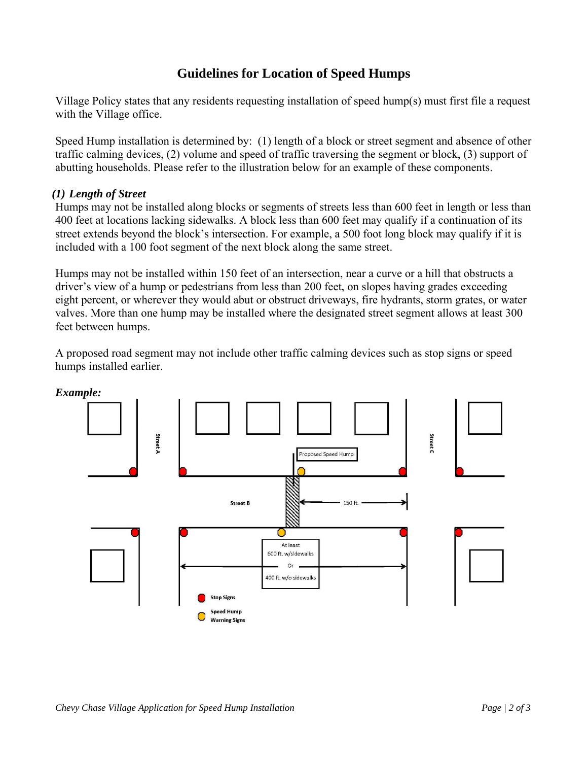## **Guidelines for Location of Speed Humps**

Village Policy states that any residents requesting installation of speed hump(s) must first file a request with the Village office.

Speed Hump installation is determined by: (1) length of a block or street segment and absence of other traffic calming devices, (2) volume and speed of traffic traversing the segment or block, (3) support of abutting households. Please refer to the illustration below for an example of these components.

#### *(1) Length of Street*

Humps may not be installed along blocks or segments of streets less than 600 feet in length or less than 400 feet at locations lacking sidewalks. A block less than 600 feet may qualify if a continuation of its street extends beyond the block's intersection. For example, a 500 foot long block may qualify if it is included with a 100 foot segment of the next block along the same street.

Humps may not be installed within 150 feet of an intersection, near a curve or a hill that obstructs a driver's view of a hump or pedestrians from less than 200 feet, on slopes having grades exceeding eight percent, or wherever they would abut or obstruct driveways, fire hydrants, storm grates, or water valves. More than one hump may be installed where the designated street segment allows at least 300 feet between humps.

A proposed road segment may not include other traffic calming devices such as stop signs or speed humps installed earlier.



*Example:*